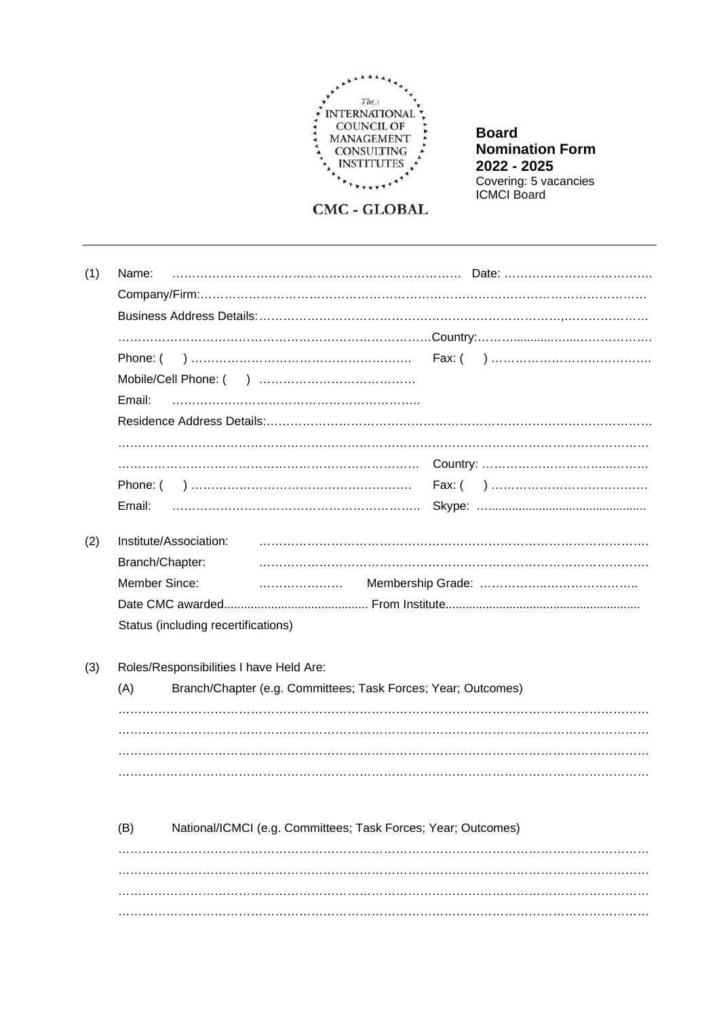

**Board Nomination Form** 2022 - 2025 Covering: 5 vacancies<br>ICMCI Board

**CMC - GLOBAL** 

| (1) | Name:                               |  |
|-----|-------------------------------------|--|
|     |                                     |  |
|     |                                     |  |
|     |                                     |  |
|     |                                     |  |
|     |                                     |  |
|     | Email:                              |  |
|     |                                     |  |
|     |                                     |  |
|     |                                     |  |
|     |                                     |  |
|     | Email:                              |  |
|     | Institute/Association:              |  |
| (2) |                                     |  |
|     | Branch/Chapter:                     |  |
|     | Member Since:                       |  |
|     |                                     |  |
|     | Status (including recertifications) |  |
|     |                                     |  |
|     |                                     |  |

 $(3)$ Roles/Responsibilities I have Held Are:

| (A) | Branch/Chapter (e.g. Committees; Task Forces; Year; Outcomes) |
|-----|---------------------------------------------------------------|
|     |                                                               |
|     |                                                               |
|     |                                                               |
|     |                                                               |

| (B) | National/ICMCI (e.g. Committees; Task Forces; Year; Outcomes) |
|-----|---------------------------------------------------------------|
|     |                                                               |
|     |                                                               |
|     |                                                               |
|     |                                                               |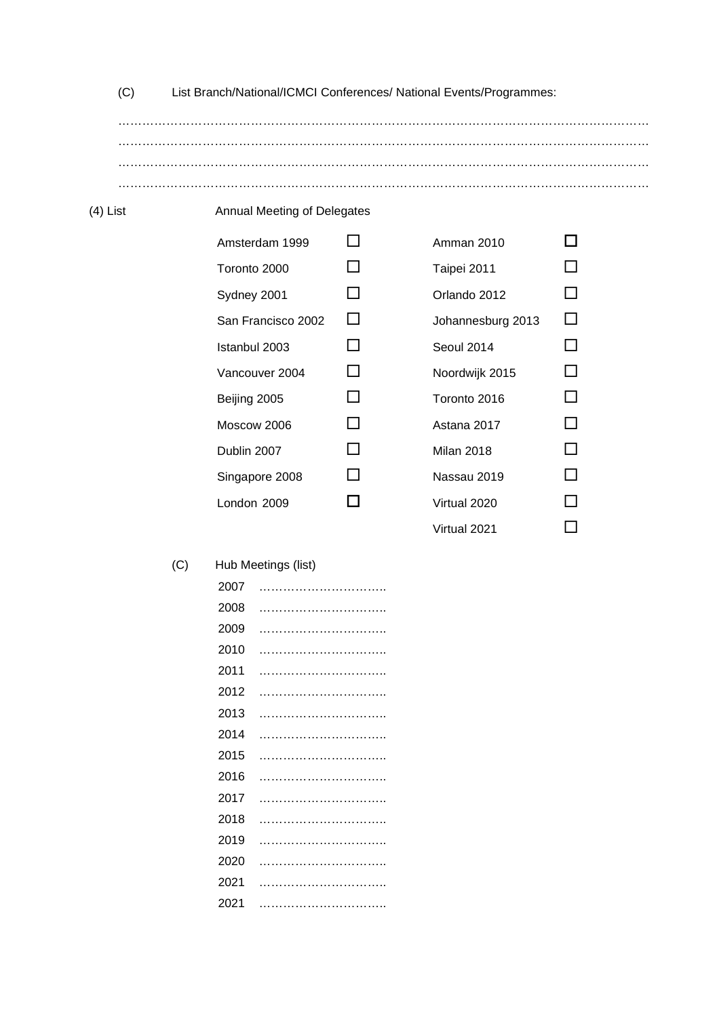| List Branch/National/ICMCI Conferences/ National Events/Programmes: |  |  |  |
|---------------------------------------------------------------------|--|--|--|
|                                                                     |  |  |  |
|                                                                     |  |  |  |
|                                                                     |  |  |  |
|                                                                     |  |  |  |
|                                                                     |  |  |  |

## (4) List Annual Meeting of Delegates

| Amsterdam 1999     |                | Amman 2010        |  |
|--------------------|----------------|-------------------|--|
| Toronto 2000       |                | Taipei 2011       |  |
| Sydney 2001        |                | Orlando 2012      |  |
| San Francisco 2002 |                | Johannesburg 2013 |  |
| Istanbul 2003      |                | Seoul 2014        |  |
| Vancouver 2004     |                | Noordwijk 2015    |  |
| Beijing 2005       |                | Toronto 2016      |  |
| Moscow 2006        |                | Astana 2017       |  |
| Dublin 2007        | $\blacksquare$ | Milan 2018        |  |
| Singapore 2008     |                | Nassau 2019       |  |
| London 2009        |                | Virtual 2020      |  |
|                    |                |                   |  |

| Amman 2010        |              |
|-------------------|--------------|
| Taipei 2011       | $\mathsf{L}$ |
| Orlando 2012      | ΙI           |
| Johannesburg 2013 | $\mathsf{L}$ |
| Seoul 2014        | П            |
| Noordwijk 2015    | П            |
| Toronto 2016      | ΙI           |
| Astana 2017       | ΙI           |
| Milan 2018        | ΙI           |
| Nassau 2019       | ΙI           |
| Virtual 2020      | H            |
| Virtual 2021      |              |

## (C) Hub Meetings (list)

| 2007 |  |
|------|--|
| 2008 |  |
| 2009 |  |
| 2010 |  |
| 2011 |  |
| 2012 |  |
| 2013 |  |
| 2014 |  |
| 2015 |  |
| 2016 |  |
| 2017 |  |
| 2018 |  |
| 2019 |  |
| 2020 |  |
| 2021 |  |
| 2021 |  |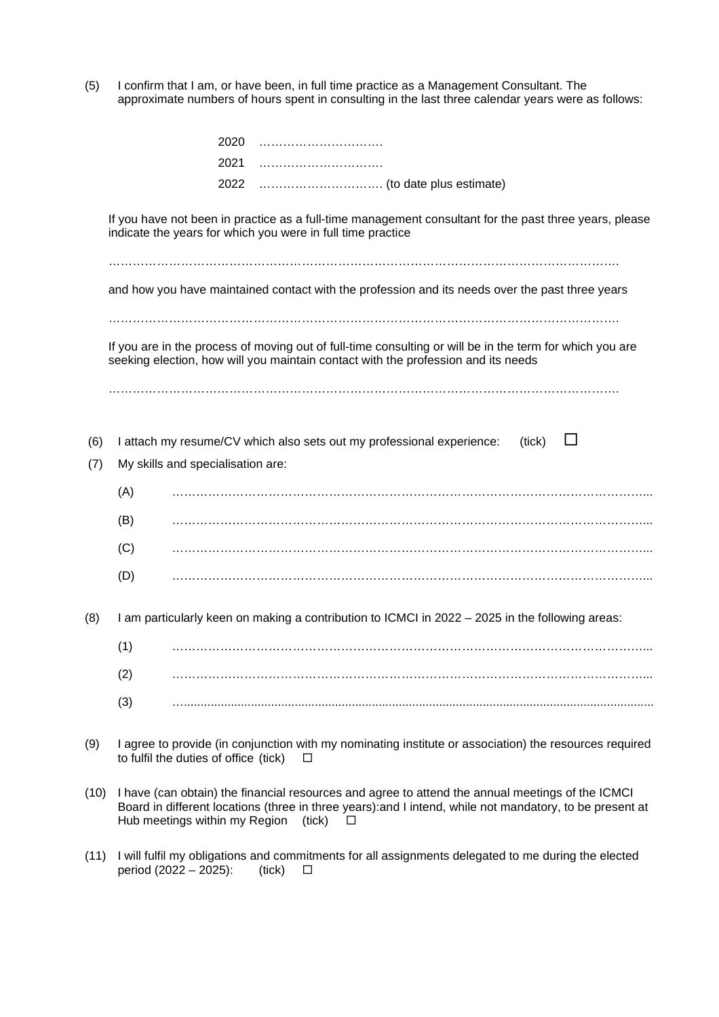(5) I confirm that I am, or have been, in full time practice as a Management Consultant. The approximate numbers of hours spent in consulting in the last three calendar years were as follows:

|                                                                                                 |                                                                                                                      | 2020                                  |                                                                                                                                                                                               |  |  |
|-------------------------------------------------------------------------------------------------|----------------------------------------------------------------------------------------------------------------------|---------------------------------------|-----------------------------------------------------------------------------------------------------------------------------------------------------------------------------------------------|--|--|
|                                                                                                 |                                                                                                                      | 2021                                  |                                                                                                                                                                                               |  |  |
|                                                                                                 |                                                                                                                      | 2022                                  |                                                                                                                                                                                               |  |  |
|                                                                                                 |                                                                                                                      |                                       | If you have not been in practice as a full-time management consultant for the past three years, please<br>indicate the years for which you were in full time practice                         |  |  |
| and how you have maintained contact with the profession and its needs over the past three years |                                                                                                                      |                                       |                                                                                                                                                                                               |  |  |
|                                                                                                 |                                                                                                                      |                                       | If you are in the process of moving out of full-time consulting or will be in the term for which you are<br>seeking election, how will you maintain contact with the profession and its needs |  |  |
| (6)<br>(7)                                                                                      | I attach my resume/CV which also sets out my professional experience:<br>(tick)<br>My skills and specialisation are: |                                       |                                                                                                                                                                                               |  |  |
| (A)                                                                                             |                                                                                                                      |                                       |                                                                                                                                                                                               |  |  |
|                                                                                                 | (B)                                                                                                                  |                                       |                                                                                                                                                                                               |  |  |
|                                                                                                 | (C)                                                                                                                  |                                       |                                                                                                                                                                                               |  |  |
|                                                                                                 | (D)                                                                                                                  |                                       |                                                                                                                                                                                               |  |  |
| (8)                                                                                             | I am particularly keen on making a contribution to ICMCI in 2022 - 2025 in the following areas:                      |                                       |                                                                                                                                                                                               |  |  |
|                                                                                                 | (1)                                                                                                                  |                                       |                                                                                                                                                                                               |  |  |
|                                                                                                 | (2)                                                                                                                  |                                       |                                                                                                                                                                                               |  |  |
|                                                                                                 | (3)                                                                                                                  |                                       |                                                                                                                                                                                               |  |  |
| (9)                                                                                             |                                                                                                                      | to fulfil the duties of office (tick) | I agree to provide (in conjunction with my nominating institute or association) the resources required<br>□                                                                                   |  |  |

- (10) I have (can obtain) the financial resources and agree to attend the annual meetings of the ICMCI Board in different locations (three in three years):and I intend, while not mandatory, to be present at Hub meetings within my Region (tick)  $\square$
- (11) I will fulfil my obligations and commitments for all assignments delegated to me during the elected period (2022 2025):  $\Box$ period (2022 – 2025): (tick)  $\Box$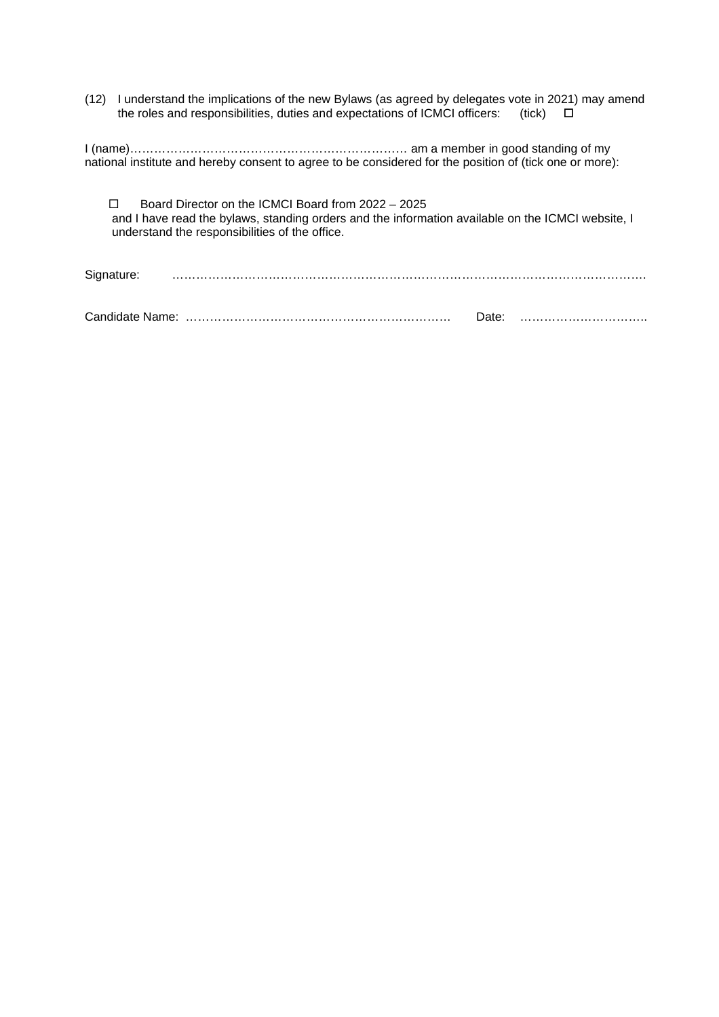(12) I understand the implications of the new Bylaws (as agreed by delegates vote in 2021) may amend the roles and responsibilities, duties and expectations of ICMCI officers: (tick)  $\square$ 

I (name)…………………………………………………………… am a member in good standing of my national institute and hereby consent to agree to be considered for the position of (tick one or more):

 Board Director on the ICMCI Board from 2022 – 2025 and I have read the bylaws, standing orders and the information available on the ICMCI website, I understand the responsibilities of the office.

Signature: ……………………………………………………………………………………………………….

Candidate Name: ………………………………………………………… Date: …………………………..